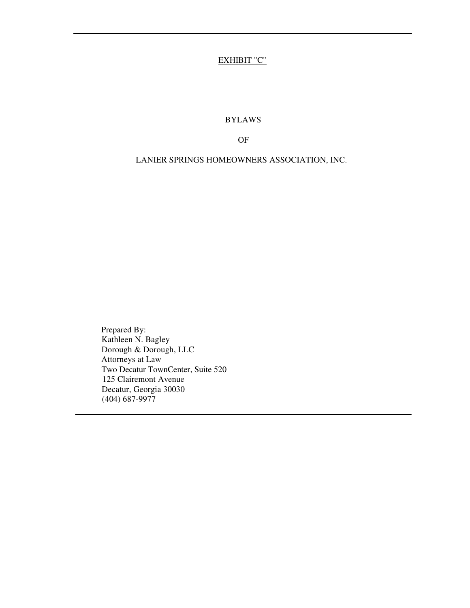## EXHIBIT "C"

BYLAWS

OF

LANIER SPRINGS HOMEOWNERS ASSOCIATION, INC.

Prepared By: Kathleen N. Bagley Dorough & Dorough, LLC Attorneys at Law Two Decatur TownCenter, Suite 520 125 Clairemont Avenue Decatur, Georgia 30030 (404) 687-9977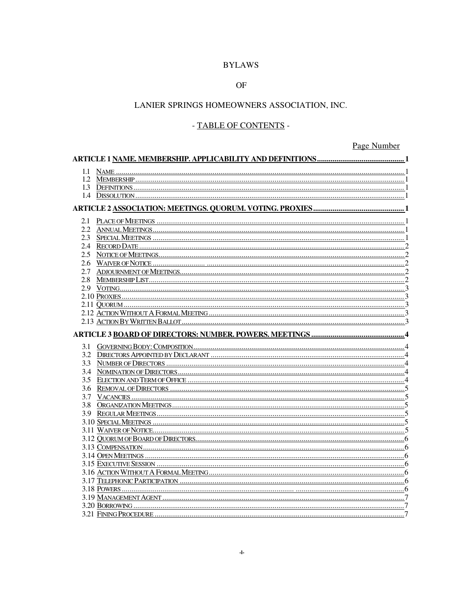## **BYLAWS**

### $OF$

### LANIER SPRINGS HOMEOWNERS ASSOCIATION, INC.

## - TABLE OF CONTENTS -

# Page Number

| 3.1 |  |  |
|-----|--|--|
|     |  |  |
|     |  |  |
|     |  |  |
|     |  |  |
|     |  |  |
|     |  |  |
|     |  |  |
|     |  |  |
|     |  |  |
|     |  |  |
|     |  |  |
|     |  |  |
|     |  |  |
|     |  |  |
|     |  |  |
|     |  |  |
|     |  |  |
|     |  |  |
|     |  |  |
|     |  |  |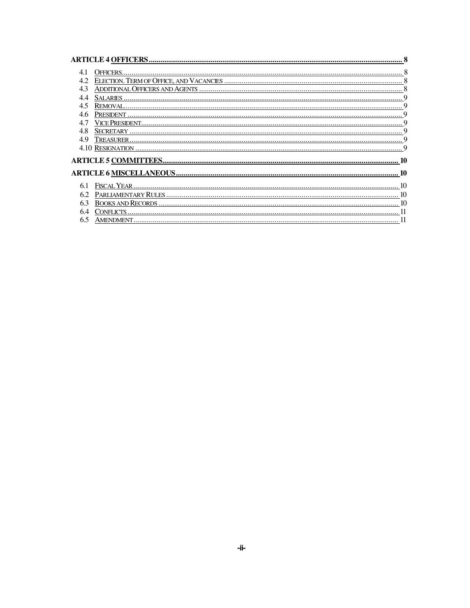| OFFICERS.                                                                        |  |  |
|----------------------------------------------------------------------------------|--|--|
| 4.2<br>ELECTION. TERM OF OFFICE, AND VACANCIES ……………………………………………………………………………………… |  |  |
| 4.3                                                                              |  |  |
| SALARIES.<br>44                                                                  |  |  |
| 4.5                                                                              |  |  |
| 4.6                                                                              |  |  |
| VICE PRESIDENT<br>47                                                             |  |  |
| 4.8                                                                              |  |  |
| 49                                                                               |  |  |
|                                                                                  |  |  |
|                                                                                  |  |  |
|                                                                                  |  |  |
|                                                                                  |  |  |
| 6.1                                                                              |  |  |
| PARLIAMENTARY RULES<br>62                                                        |  |  |
|                                                                                  |  |  |
| CONFLICTS                                                                        |  |  |
| 6.5                                                                              |  |  |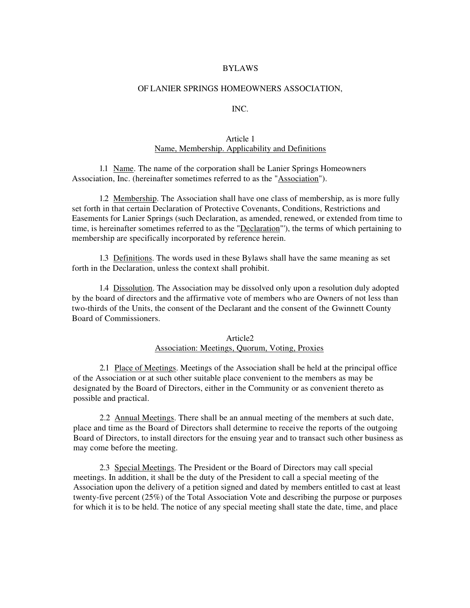#### BYLAWS

#### OF LANIER SPRINGS HOMEOWNERS ASSOCIATION,

#### INC.

### Article 1 Name, Membership. Applicability and Definitions

1.1 Name. The name of the corporation shall be Lanier Springs Homeowners Association, Inc. (hereinafter sometimes referred to as the "Association").

1.2 Membership. The Association shall have one class of membership, as is more fully set forth in that certain Declaration of Protective Covenants, Conditions, Restrictions and Easements for Lanier Springs (such Declaration, as amended, renewed, or extended from time to time, is hereinafter sometimes referred to as the "Declaration"'), the terms of which pertaining to membership are specifically incorporated by reference herein.

1.3 Definitions. The words used in these Bylaws shall have the same meaning as set forth in the Declaration, unless the context shall prohibit.

1.4 Dissolution. The Association may be dissolved only upon a resolution duly adopted by the board of directors and the affirmative vote of members who are Owners of not less than two-thirds of the Units, the consent of the Declarant and the consent of the Gwinnett County Board of Commissioners.

#### Article2 Association: Meetings, Quorum, Voting, Proxies

2.1 Place of Meetings. Meetings of the Association shall be held at the principal office of the Association or at such other suitable place convenient to the members as may be designated by the Board of Directors, either in the Community or as convenient thereto as possible and practical.

2.2 Annual Meetings. There shall be an annual meeting of the members at such date, place and time as the Board of Directors shall determine to receive the reports of the outgoing Board of Directors, to install directors for the ensuing year and to transact such other business as may come before the meeting.

2.3 Special Meetings. The President or the Board of Directors may call special meetings. In addition, it shall be the duty of the President to call a special meeting of the Association upon the delivery of a petition signed and dated by members entitled to cast at least twenty-five percent (25%) of the Total Association Vote and describing the purpose or purposes for which it is to be held. The notice of any special meeting shall state the date, time, and place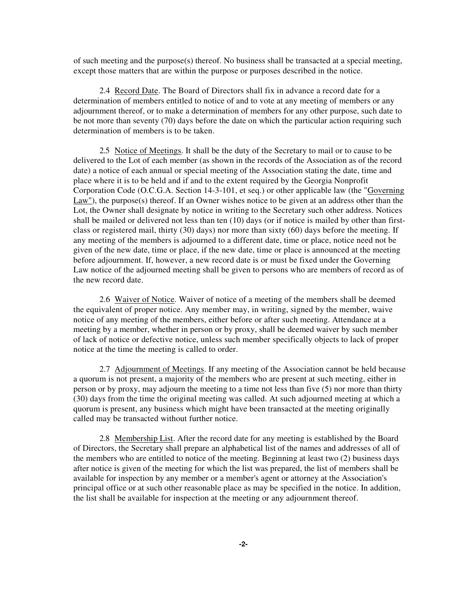of such meeting and the purpose(s) thereof. No business shall be transacted at a special meeting, except those matters that are within the purpose or purposes described in the notice.

2.4 Record Date. The Board of Directors shall fix in advance a record date for a determination of members entitled to notice of and to vote at any meeting of members or any adjournment thereof, or to make a determination of members for any other purpose, such date to be not more than seventy (70) days before the date on which the particular action requiring such determination of members is to be taken.

2.5 Notice of Meetings. It shall be the duty of the Secretary to mail or to cause to be delivered to the Lot of each member (as shown in the records of the Association as of the record date) a notice of each annual or special meeting of the Association stating the date, time and place where it is to be held and if and to the extent required by the Georgia Nonprofit Corporation Code (O.C.G.A. Section 14-3-101, et seq.) or other applicable law (the "Governing Law"), the purpose(s) thereof. If an Owner wishes notice to be given at an address other than the Lot, the Owner shall designate by notice in writing to the Secretary such other address. Notices shall be mailed or delivered not less than ten (10) days (or if notice is mailed by other than firstclass or registered mail, thirty (30) days) nor more than sixty (60) days before the meeting. If any meeting of the members is adjourned to a different date, time or place, notice need not be given of the new date, time or place, if the new date, time or place is announced at the meeting before adjournment. If, however, a new record date is or must be fixed under the Governing Law notice of the adjourned meeting shall be given to persons who are members of record as of the new record date.

2.6 Waiver of Notice. Waiver of notice of a meeting of the members shall be deemed the equivalent of proper notice. Any member may, in writing, signed by the member, waive notice of any meeting of the members, either before or after such meeting. Attendance at a meeting by a member, whether in person or by proxy, shall be deemed waiver by such member of lack of notice or defective notice, unless such member specifically objects to lack of proper notice at the time the meeting is called to order.

2.7 Adjournment of Meetings. If any meeting of the Association cannot be held because a quorum is not present, a majority of the members who are present at such meeting, either in person or by proxy, may adjourn the meeting to a time not less than five (5) nor more than thirty (30) days from the time the original meeting was called. At such adjourned meeting at which a quorum is present, any business which might have been transacted at the meeting originally called may be transacted without further notice.

2.8 Membership List. After the record date for any meeting is established by the Board of Directors, the Secretary shall prepare an alphabetical list of the names and addresses of all of the members who are entitled to notice of the meeting. Beginning at least two (2) business days after notice is given of the meeting for which the list was prepared, the list of members shall be available for inspection by any member or a member's agent or attorney at the Association's principal office or at such other reasonable place as may be specified in the notice. In addition, the list shall be available for inspection at the meeting or any adjournment thereof.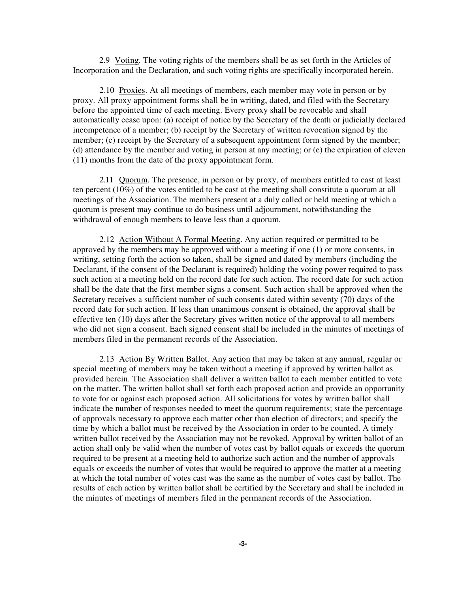2.9 Voting. The voting rights of the members shall be as set forth in the Articles of Incorporation and the Declaration, and such voting rights are specifically incorporated herein.

2.10 Proxies. At all meetings of members, each member may vote in person or by proxy. All proxy appointment forms shall be in writing, dated, and filed with the Secretary before the appointed time of each meeting. Every proxy shall be revocable and shall automatically cease upon: (a) receipt of notice by the Secretary of the death or judicially declared incompetence of a member; (b) receipt by the Secretary of written revocation signed by the member; (c) receipt by the Secretary of a subsequent appointment form signed by the member; (d) attendance by the member and voting in person at any meeting; or (e) the expiration of eleven (11) months from the date of the proxy appointment form.

2.11 Quorum. The presence, in person or by proxy, of members entitled to cast at least ten percent (10%) of the votes entitled to be cast at the meeting shall constitute a quorum at all meetings of the Association. The members present at a duly called or held meeting at which a quorum is present may continue to do business until adjournment, notwithstanding the withdrawal of enough members to leave less than a quorum.

2.12 Action Without A Formal Meeting. Any action required or permitted to be approved by the members may be approved without a meeting if one (1) or more consents, in writing, setting forth the action so taken, shall be signed and dated by members (including the Declarant, if the consent of the Declarant is required) holding the voting power required to pass such action at a meeting held on the record date for such action. The record date for such action shall be the date that the first member signs a consent. Such action shall be approved when the Secretary receives a sufficient number of such consents dated within seventy (70) days of the record date for such action. If less than unanimous consent is obtained, the approval shall be effective ten (10) days after the Secretary gives written notice of the approval to all members who did not sign a consent. Each signed consent shall be included in the minutes of meetings of members filed in the permanent records of the Association.

2.13 Action By Written Ballot. Any action that may be taken at any annual, regular or special meeting of members may be taken without a meeting if approved by written ballot as provided herein. The Association shall deliver a written ballot to each member entitled to vote on the matter. The written ballot shall set forth each proposed action and provide an opportunity to vote for or against each proposed action. All solicitations for votes by written ballot shall indicate the number of responses needed to meet the quorum requirements; state the percentage of approvals necessary to approve each matter other than election of directors; and specify the time by which a ballot must be received by the Association in order to be counted. A timely written ballot received by the Association may not be revoked. Approval by written ballot of an action shall only be valid when the number of votes cast by ballot equals or exceeds the quorum required to be present at a meeting held to authorize such action and the number of approvals equals or exceeds the number of votes that would be required to approve the matter at a meeting at which the total number of votes cast was the same as the number of votes cast by ballot. The results of each action by written ballot shall be certified by the Secretary and shall be included in the minutes of meetings of members filed in the permanent records of the Association.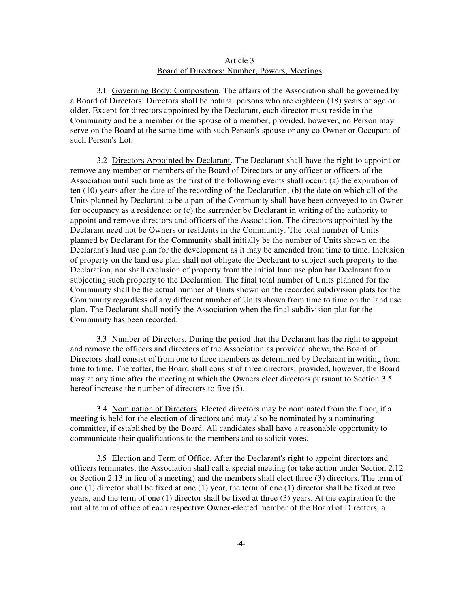### Article 3 Board of Directors: Number, Powers, Meetings

3.1 Governing Body: Composition. The affairs of the Association shall be governed by a Board of Directors. Directors shall be natural persons who are eighteen (18) years of age or older. Except for directors appointed by the Declarant, each director must reside in the Community and be a member or the spouse of a member; provided, however, no Person may serve on the Board at the same time with such Person's spouse or any co-Owner or Occupant of such Person's Lot.

3.2 Directors Appointed by Declarant. The Declarant shall have the right to appoint or remove any member or members of the Board of Directors or any officer or officers of the Association until such time as the first of the following events shall occur: (a) the expiration of ten (10) years after the date of the recording of the Declaration; (b) the date on which all of the Units planned by Declarant to be a part of the Community shall have been conveyed to an Owner for occupancy as a residence; or (c) the surrender by Declarant in writing of the authority to appoint and remove directors and officers of the Association. The directors appointed by the Declarant need not be Owners or residents in the Community. The total number of Units planned by Declarant for the Community shall initially be the number of Units shown on the Declarant's land use plan for the development as it may be amended from time to time. Inclusion of property on the land use plan shall not obligate the Declarant to subject such property to the Declaration, nor shall exclusion of property from the initial land use plan bar Declarant from subjecting such property to the Declaration. The final total number of Units planned for the Community shall be the actual number of Units shown on the recorded subdivision plats for the Community regardless of any different number of Units shown from time to time on the land use plan. The Declarant shall notify the Association when the final subdivision plat for the Community has been recorded.

3.3 Number of Directors. During the period that the Declarant has the right to appoint and remove the officers and directors of the Association as provided above, the Board of Directors shall consist of from one to three members as determined by Declarant in writing from time to time. Thereafter, the Board shall consist of three directors; provided, however, the Board may at any time after the meeting at which the Owners elect directors pursuant to Section 3.5 hereof increase the number of directors to five (5).

3.4 Nomination of Directors. Elected directors may be nominated from the floor, if a meeting is held for the election of directors and may also be nominated by a nominating committee, if established by the Board. All candidates shall have a reasonable opportunity to communicate their qualifications to the members and to solicit votes.

3.5 Election and Term of Office. After the Declarant's right to appoint directors and officers terminates, the Association shall call a special meeting (or take action under Section 2.12 or Section 2.13 in lieu of a meeting) and the members shall elect three (3) directors. The term of one (1) director shall be fixed at one (1) year, the term of one (1) director shall be fixed at two years, and the term of one (1) director shall be fixed at three (3) years. At the expiration fo the initial term of office of each respective Owner-elected member of the Board of Directors, a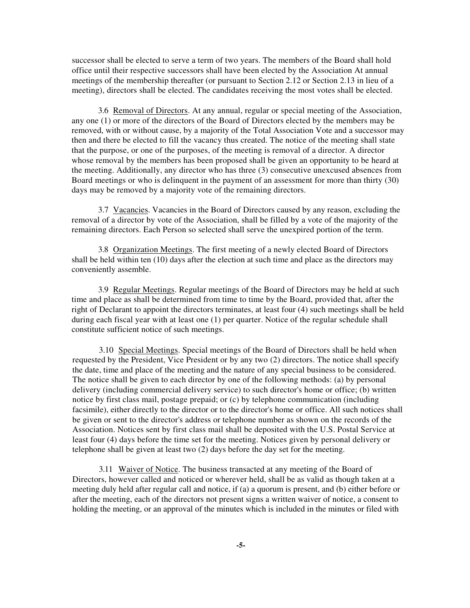successor shall be elected to serve a term of two years. The members of the Board shall hold office until their respective successors shall have been elected by the Association At annual meetings of the membership thereafter (or pursuant to Section 2.12 or Section 2.13 in lieu of a meeting), directors shall be elected. The candidates receiving the most votes shall be elected.

3.6 Removal of Directors. At any annual, regular or special meeting of the Association, any one (1) or more of the directors of the Board of Directors elected by the members may be removed, with or without cause, by a majority of the Total Association Vote and a successor may then and there be elected to fill the vacancy thus created. The notice of the meeting shall state that the purpose, or one of the purposes, of the meeting is removal of a director. A director whose removal by the members has been proposed shall be given an opportunity to be heard at the meeting. Additionally, any director who has three (3) consecutive unexcused absences from Board meetings or who is delinquent in the payment of an assessment for more than thirty (30) days may be removed by a majority vote of the remaining directors.

3.7 Vacancies. Vacancies in the Board of Directors caused by any reason, excluding the removal of a director by vote of the Association, shall be filled by a vote of the majority of the remaining directors. Each Person so selected shall serve the unexpired portion of the term.

3.8 Organization Meetings. The first meeting of a newly elected Board of Directors shall be held within ten (10) days after the election at such time and place as the directors may conveniently assemble.

3.9 Regular Meetings. Regular meetings of the Board of Directors may be held at such time and place as shall be determined from time to time by the Board, provided that, after the right of Declarant to appoint the directors terminates, at least four (4) such meetings shall be held during each fiscal year with at least one (1) per quarter. Notice of the regular schedule shall constitute sufficient notice of such meetings.

3.10 Special Meetings. Special meetings of the Board of Directors shall be held when requested by the President, Vice President or by any two (2) directors. The notice shall specify the date, time and place of the meeting and the nature of any special business to be considered. The notice shall be given to each director by one of the following methods: (a) by personal delivery (including commercial delivery service) to such director's home or office; (b) written notice by first class mail, postage prepaid; or (c) by telephone communication (including facsimile), either directly to the director or to the director's home or office. All such notices shall be given or sent to the director's address or telephone number as shown on the records of the Association. Notices sent by first class mail shall be deposited with the U.S. Postal Service at least four (4) days before the time set for the meeting. Notices given by personal delivery or telephone shall be given at least two (2) days before the day set for the meeting.

3.11 Waiver of Notice. The business transacted at any meeting of the Board of Directors, however called and noticed or wherever held, shall be as valid as though taken at a meeting duly held after regular call and notice, if (a) a quorum is present, and (b) either before or after the meeting, each of the directors not present signs a written waiver of notice, a consent to holding the meeting, or an approval of the minutes which is included in the minutes or filed with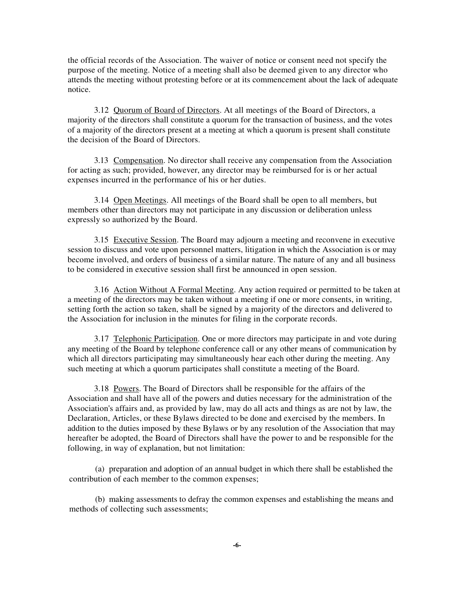the official records of the Association. The waiver of notice or consent need not specify the purpose of the meeting. Notice of a meeting shall also be deemed given to any director who attends the meeting without protesting before or at its commencement about the lack of adequate notice.

3.12 Quorum of Board of Directors. At all meetings of the Board of Directors, a majority of the directors shall constitute a quorum for the transaction of business, and the votes of a majority of the directors present at a meeting at which a quorum is present shall constitute the decision of the Board of Directors.

3.13 Compensation. No director shall receive any compensation from the Association for acting as such; provided, however, any director may be reimbursed for is or her actual expenses incurred in the performance of his or her duties.

3.14 Open Meetings. All meetings of the Board shall be open to all members, but members other than directors may not participate in any discussion or deliberation unless expressly so authorized by the Board.

3.15 Executive Session. The Board may adjourn a meeting and reconvene in executive session to discuss and vote upon personnel matters, litigation in which the Association is or may become involved, and orders of business of a similar nature. The nature of any and all business to be considered in executive session shall first be announced in open session.

3.16 Action Without A Formal Meeting. Any action required or permitted to be taken at a meeting of the directors may be taken without a meeting if one or more consents, in writing, setting forth the action so taken, shall be signed by a majority of the directors and delivered to the Association for inclusion in the minutes for filing in the corporate records.

3.17 Telephonic Participation. One or more directors may participate in and vote during any meeting of the Board by telephone conference call or any other means of communication by which all directors participating may simultaneously hear each other during the meeting. Any such meeting at which a quorum participates shall constitute a meeting of the Board.

3.18 Powers. The Board of Directors shall be responsible for the affairs of the Association and shall have all of the powers and duties necessary for the administration of the Association's affairs and, as provided by law, may do all acts and things as are not by law, the Declaration, Articles, or these Bylaws directed to be done and exercised by the members. In addition to the duties imposed by these Bylaws or by any resolution of the Association that may hereafter be adopted, the Board of Directors shall have the power to and be responsible for the following, in way of explanation, but not limitation:

(a) preparation and adoption of an annual budget in which there shall be established the contribution of each member to the common expenses;

(b) making assessments to defray the common expenses and establishing the means and methods of collecting such assessments;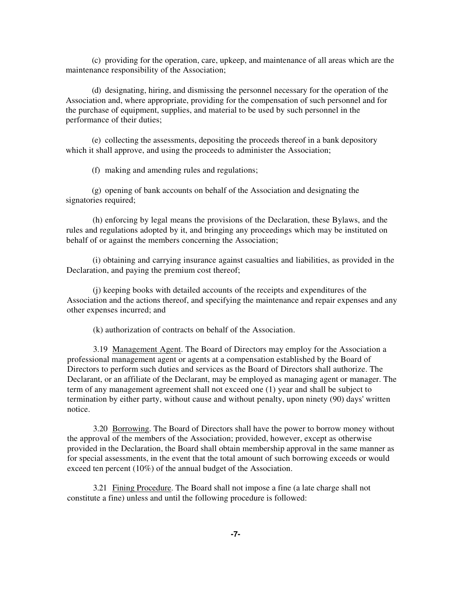(c) providing for the operation, care, upkeep, and maintenance of all areas which are the maintenance responsibility of the Association;

(d) designating, hiring, and dismissing the personnel necessary for the operation of the Association and, where appropriate, providing for the compensation of such personnel and for the purchase of equipment, supplies, and material to be used by such personnel in the performance of their duties;

(e) collecting the assessments, depositing the proceeds thereof in a bank depository which it shall approve, and using the proceeds to administer the Association;

(f) making and amending rules and regulations;

(g) opening of bank accounts on behalf of the Association and designating the signatories required;

(h) enforcing by legal means the provisions of the Declaration, these Bylaws, and the rules and regulations adopted by it, and bringing any proceedings which may be instituted on behalf of or against the members concerning the Association;

(i) obtaining and carrying insurance against casualties and liabilities, as provided in the Declaration, and paying the premium cost thereof;

(j) keeping books with detailed accounts of the receipts and expenditures of the Association and the actions thereof, and specifying the maintenance and repair expenses and any other expenses incurred; and

(k) authorization of contracts on behalf of the Association.

3.19 Management Agent. The Board of Directors may employ for the Association a professional management agent or agents at a compensation established by the Board of Directors to perform such duties and services as the Board of Directors shall authorize. The Declarant, or an affiliate of the Declarant, may be employed as managing agent or manager. The term of any management agreement shall not exceed one (1) year and shall be subject to termination by either party, without cause and without penalty, upon ninety (90) days' written notice.

3.20 Borrowing. The Board of Directors shall have the power to borrow money without the approval of the members of the Association; provided, however, except as otherwise provided in the Declaration, the Board shall obtain membership approval in the same manner as for special assessments, in the event that the total amount of such borrowing exceeds or would exceed ten percent (10%) of the annual budget of the Association.

3.21 Fining Procedure. The Board shall not impose a fine (a late charge shall not constitute a fine) unless and until the following procedure is followed: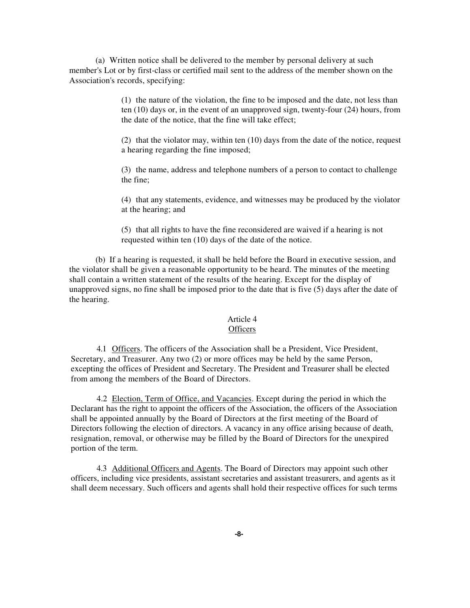(a) Written notice shall be delivered to the member by personal delivery at such member's Lot or by first-class or certified mail sent to the address of the member shown on the Association's records, specifying:

> (1) the nature of the violation, the fine to be imposed and the date, not less than ten (10) days or, in the event of an unapproved sign, twenty-four (24) hours, from the date of the notice, that the fine will take effect;

> (2) that the violator may, within ten (10) days from the date of the notice, request a hearing regarding the fine imposed;

(3) the name, address and telephone numbers of a person to contact to challenge the fine;

(4) that any statements, evidence, and witnesses may be produced by the violator at the hearing; and

(5) that all rights to have the fine reconsidered are waived if a hearing is not requested within ten (10) days of the date of the notice.

(b) If a hearing is requested, it shall be held before the Board in executive session, and the violator shall be given a reasonable opportunity to be heard. The minutes of the meeting shall contain a written statement of the results of the hearing. Except for the display of unapproved signs, no fine shall be imposed prior to the date that is five (5) days after the date of the hearing.

### Article 4

### **Officers**

4.1 Officers. The officers of the Association shall be a President, Vice President, Secretary, and Treasurer. Any two (2) or more offices may be held by the same Person, excepting the offices of President and Secretary. The President and Treasurer shall be elected from among the members of the Board of Directors.

4.2 Election, Term of Office, and Vacancies. Except during the period in which the Declarant has the right to appoint the officers of the Association, the officers of the Association shall be appointed annually by the Board of Directors at the first meeting of the Board of Directors following the election of directors. A vacancy in any office arising because of death, resignation, removal, or otherwise may be filled by the Board of Directors for the unexpired portion of the term.

4.3 Additional Officers and Agents. The Board of Directors may appoint such other officers, including vice presidents, assistant secretaries and assistant treasurers, and agents as it shall deem necessary. Such officers and agents shall hold their respective offices for such terms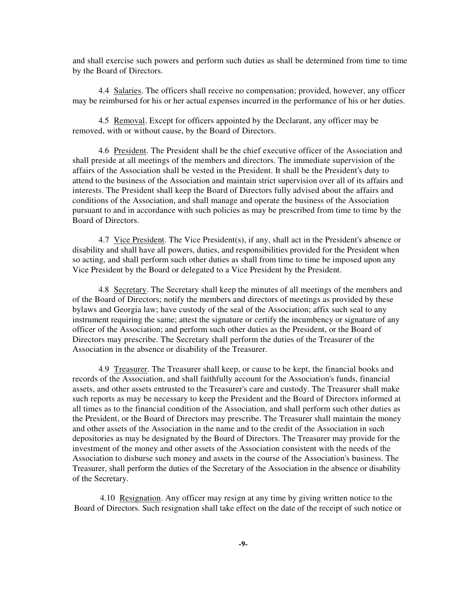and shall exercise such powers and perform such duties as shall be determined from time to time by the Board of Directors.

4.4 Salaries. The officers shall receive no compensation; provided, however, any officer may be reimbursed for his or her actual expenses incurred in the performance of his or her duties.

4.5 Removal. Except for officers appointed by the Declarant, any officer may be removed, with or without cause, by the Board of Directors.

4.6 President. The President shall be the chief executive officer of the Association and shall preside at all meetings of the members and directors. The immediate supervision of the affairs of the Association shall be vested in the President. It shall be the President's duty to attend to the business of the Association and maintain strict supervision over all of its affairs and interests. The President shall keep the Board of Directors fully advised about the affairs and conditions of the Association, and shall manage and operate the business of the Association pursuant to and in accordance with such policies as may be prescribed from time to time by the Board of Directors.

4.7 Vice President. The Vice President(s), if any, shall act in the President's absence or disability and shall have all powers, duties, and responsibilities provided for the President when so acting, and shall perform such other duties as shall from time to time be imposed upon any Vice President by the Board or delegated to a Vice President by the President.

4.8 Secretary. The Secretary shall keep the minutes of all meetings of the members and of the Board of Directors; notify the members and directors of meetings as provided by these bylaws and Georgia law; have custody of the seal of the Association; affix such seal to any instrument requiring the same; attest the signature or certify the incumbency or signature of any officer of the Association; and perform such other duties as the President, or the Board of Directors may prescribe. The Secretary shall perform the duties of the Treasurer of the Association in the absence or disability of the Treasurer.

4.9 Treasurer. The Treasurer shall keep, or cause to be kept, the financial books and records of the Association, and shall faithfully account for the Association's funds, financial assets, and other assets entrusted to the Treasurer's care and custody. The Treasurer shall make such reports as may be necessary to keep the President and the Board of Directors informed at all times as to the financial condition of the Association, and shall perform such other duties as the President, or the Board of Directors may prescribe. The Treasurer shall maintain the money and other assets of the Association in the name and to the credit of the Association in such depositories as may be designated by the Board of Directors. The Treasurer may provide for the investment of the money and other assets of the Association consistent with the needs of the Association to disburse such money and assets in the course of the Association's business. The Treasurer, shall perform the duties of the Secretary of the Association in the absence or disability of the Secretary.

4.10 Resignation. Any officer may resign at any time by giving written notice to the Board of Directors. Such resignation shall take effect on the date of the receipt of such notice or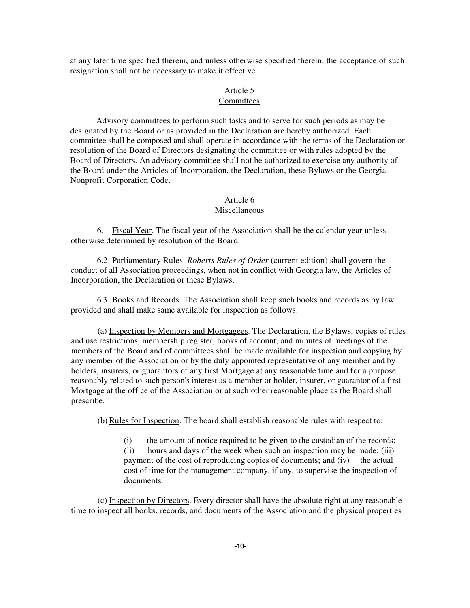at any later time specified therein, and unless otherwise specified therein, the acceptance of such resignation shall not be necessary to make it effective.

#### Article 5

#### Committees

Advisory committees to perform such tasks and to serve for such periods as may be designated by the Board or as provided in the Declaration are hereby authorized. Each committee shall be composed and shall operate in accordance with the terms of the Declaration or resolution of the Board of Directors designating the committee or with rules adopted by the Board of Directors. An advisory committee shall not be authorized to exercise any authority of the Board under the Articles of Incorporation, the Declaration, these Bylaws or the Georgia Nonprofit Corporation Code.

# Article 6

### Miscellaneous

6.1 Fiscal Year. The fiscal year of the Association shall be the calendar year unless otherwise determined by resolution of the Board.

6.2 Parliamentary Rules. *Roberts Rules of Order* (current edition) shall govern the conduct of all Association proceedings, when not in conflict with Georgia law, the Articles of Incorporation, the Declaration or these Bylaws.

6.3 Books and Records. The Association shall keep such books and records as by law provided and shall make same available for inspection as follows:

(a) Inspection by Members and Mortgagees. The Declaration, the Bylaws, copies of rules and use restrictions, membership register, books of account, and minutes of meetings of the members of the Board and of committees shall be made available for inspection and copying by any member of the Association or by the duly appointed representative of any member and by holders, insurers, or guarantors of any first Mortgage at any reasonable time and for a purpose reasonably related to such person's interest as a member or holder, insurer, or guarantor of a first Mortgage at the office of the Association or at such other reasonable place as the Board shall prescribe.

(b) Rules for Inspection. The board shall establish reasonable rules with respect to:

(i) the amount of notice required to be given to the custodian of the records; (ii) hours and days of the week when such an inspection may be made; (iii) payment of the cost of reproducing copies of documents; and (iv) the actual cost of time for the management company, if any, to supervise the inspection of documents.

(c) Inspection by Directors. Every director shall have the absolute right at any reasonable time to inspect all books, records, and documents of the Association and the physical properties